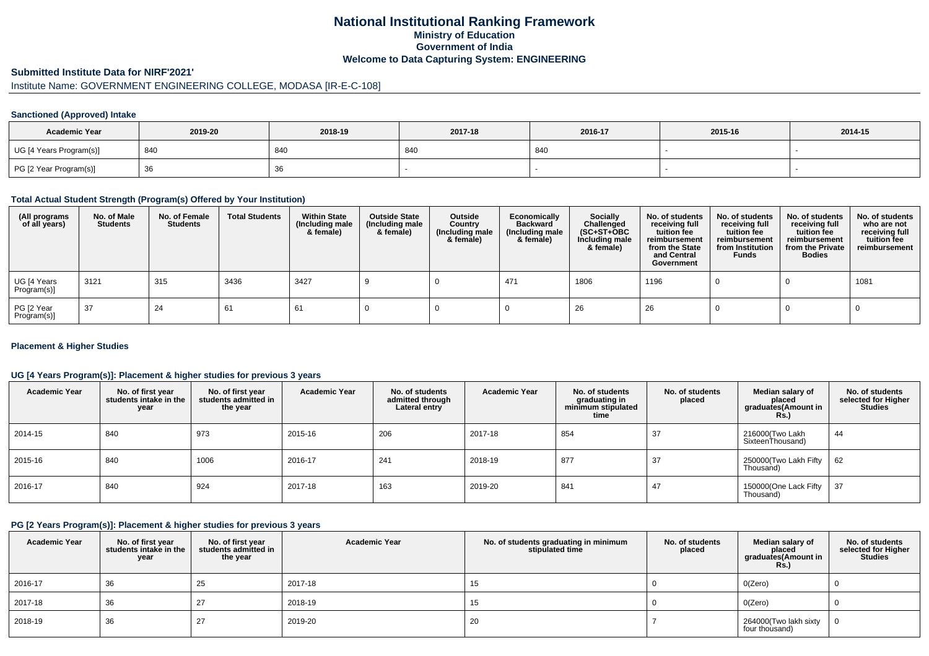## **National Institutional Ranking FrameworkMinistry of Education Government of IndiaWelcome to Data Capturing System: ENGINEERING**

#### **Submitted Institute Data for NIRF'2021'**

# Institute Name: GOVERNMENT ENGINEERING COLLEGE, MODASA [IR-E-C-108]

#### **Sanctioned (Approved) Intake**

| <b>Academic Year</b>    | 2019-20 | 2018-19 | 2017-18 | 2016-17 | 2015-16 | 2014-15 |
|-------------------------|---------|---------|---------|---------|---------|---------|
| UG [4 Years Program(s)] | 840     | 840     | 840     | 840     |         |         |
| PG [2 Year Program(s)]  | ັບບ     | 36      |         |         |         |         |

### **Total Actual Student Strength (Program(s) Offered by Your Institution)**

| (All programs<br>of all years) | No. of Male<br><b>Students</b> | No. of Female<br>Students | <b>Total Students</b> | <b>Within State</b><br>(Including male<br>& female) | <b>Outside State</b><br>(Including male<br>& female) | Outside<br>Country<br>(Including male<br>& female) | Economically<br><b>Backward</b><br>(Including male<br>& female) | <b>Socially</b><br>Challenged<br>$(SC+ST+OBC)$<br>Including male<br>& female) | No. of students<br>receiving full<br>tuition fee<br>reimbursement<br>from the State<br>and Central<br>Government | No. of students<br>receiving full<br>tuition fee<br>reimbursement<br>from Institution<br><b>Funds</b> | No. of students<br>receiving full<br>tuition fee<br>reimbursement<br>from the Private<br><b>Bodies</b> | No. of students<br>who are not<br>receiving full<br>tuition fee<br>reimbursement |
|--------------------------------|--------------------------------|---------------------------|-----------------------|-----------------------------------------------------|------------------------------------------------------|----------------------------------------------------|-----------------------------------------------------------------|-------------------------------------------------------------------------------|------------------------------------------------------------------------------------------------------------------|-------------------------------------------------------------------------------------------------------|--------------------------------------------------------------------------------------------------------|----------------------------------------------------------------------------------|
| UG [4 Years<br>Program(s)]     | 3121                           | 315                       | 3436                  | 3427                                                |                                                      |                                                    | 471                                                             | 1806                                                                          | 1196                                                                                                             |                                                                                                       |                                                                                                        | 1081                                                                             |
| PG [2 Year<br>Program(s)]      | 37                             | 24                        | 61                    | 61                                                  |                                                      |                                                    |                                                                 | 26                                                                            | 26                                                                                                               |                                                                                                       |                                                                                                        |                                                                                  |

#### **Placement & Higher Studies**

#### **UG [4 Years Program(s)]: Placement & higher studies for previous 3 years**

| <b>Academic Year</b> | No. of first year<br>students intake in the<br>year | No. of first vear<br>students admitted in<br>the year | <b>Academic Year</b> | No. of students<br>admitted through<br>Lateral entry | <b>Academic Year</b> | No. of students<br>graduating in<br>minimum stipulated<br>time | No. of students<br>placed | Median salary of<br>placed<br>graduates(Amount in<br>Rs. | No. of students<br>selected for Higher<br><b>Studies</b> |
|----------------------|-----------------------------------------------------|-------------------------------------------------------|----------------------|------------------------------------------------------|----------------------|----------------------------------------------------------------|---------------------------|----------------------------------------------------------|----------------------------------------------------------|
| 2014-15              | 840                                                 | 973                                                   | 2015-16              | 206                                                  | 2017-18              | 854                                                            | 37                        | 216000(Two Lakh<br>SixteenThousand)                      | 44                                                       |
| 2015-16              | 840                                                 | 1006                                                  | 2016-17              | 241                                                  | 2018-19              | 877                                                            | 37                        | 250000(Two Lakh Fifty<br>Thousand)                       | 62                                                       |
| 2016-17              | 840                                                 | 924                                                   | 2017-18              | 163                                                  | 2019-20              | 841                                                            | 47                        | 150000(One Lack Fifty<br>Thousand)                       | 37                                                       |

### **PG [2 Years Program(s)]: Placement & higher studies for previous 3 years**

| <b>Academic Year</b> | No. of first year<br>students intake in the<br>year | No. of first vear<br>students admitted in<br>the year | <b>Academic Year</b> | No. of students graduating in minimum<br>stipulated time | No. of students<br>placed | Median salary of<br>placed<br>graduates(Amount in<br><b>Rs.)</b> | No. of students<br>selected for Higher<br><b>Studies</b> |
|----------------------|-----------------------------------------------------|-------------------------------------------------------|----------------------|----------------------------------------------------------|---------------------------|------------------------------------------------------------------|----------------------------------------------------------|
| 2016-17              | 36                                                  | 25                                                    | 2017-18              | 15                                                       |                           | O(Zero)                                                          |                                                          |
| 2017-18              | 36                                                  | 27                                                    | 2018-19              | 15                                                       |                           | O(Zero)                                                          |                                                          |
| 2018-19              | 36                                                  | 27                                                    | 2019-20              | 20                                                       |                           | 264000(Two lakh sixty<br>four thousand)                          |                                                          |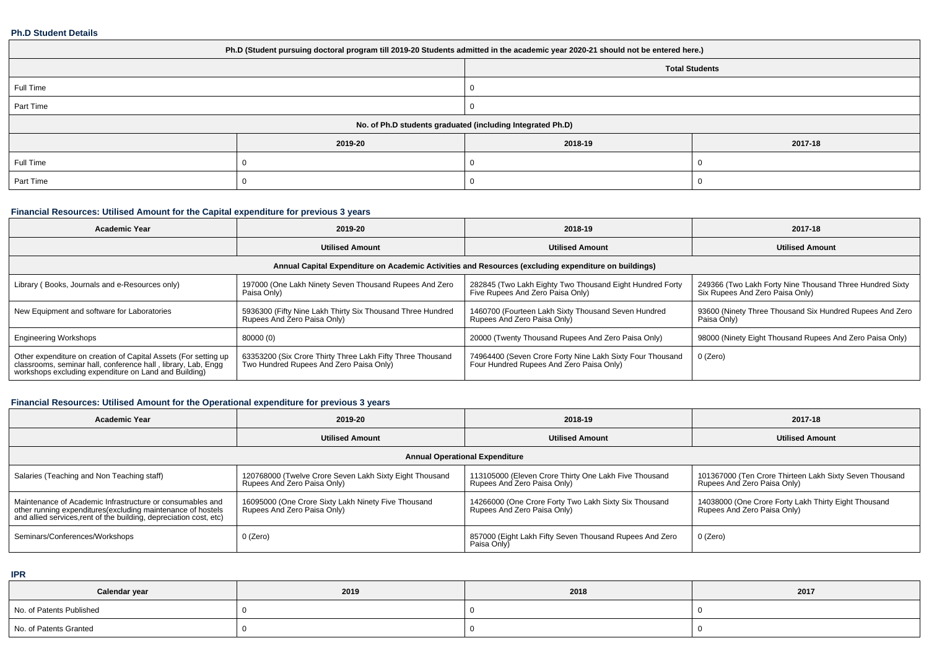#### **Ph.D Student Details**

| Ph.D (Student pursuing doctoral program till 2019-20 Students admitted in the academic year 2020-21 should not be entered here.) |                       |                                                            |         |  |  |  |  |
|----------------------------------------------------------------------------------------------------------------------------------|-----------------------|------------------------------------------------------------|---------|--|--|--|--|
|                                                                                                                                  | <b>Total Students</b> |                                                            |         |  |  |  |  |
| Full Time                                                                                                                        |                       |                                                            |         |  |  |  |  |
| Part Time                                                                                                                        |                       |                                                            |         |  |  |  |  |
|                                                                                                                                  |                       | No. of Ph.D students graduated (including Integrated Ph.D) |         |  |  |  |  |
|                                                                                                                                  | 2019-20               | 2018-19                                                    | 2017-18 |  |  |  |  |
| Full Time                                                                                                                        |                       |                                                            |         |  |  |  |  |
| Part Time                                                                                                                        |                       |                                                            |         |  |  |  |  |

# **Financial Resources: Utilised Amount for the Capital expenditure for previous 3 years**

| <b>Academic Year</b>                                                                                                                                                                   | 2019-20                                                                                               | 2018-19                                                                                               | 2017-18                                                                                     |  |  |  |  |  |  |
|----------------------------------------------------------------------------------------------------------------------------------------------------------------------------------------|-------------------------------------------------------------------------------------------------------|-------------------------------------------------------------------------------------------------------|---------------------------------------------------------------------------------------------|--|--|--|--|--|--|
|                                                                                                                                                                                        | <b>Utilised Amount</b>                                                                                | <b>Utilised Amount</b>                                                                                | <b>Utilised Amount</b>                                                                      |  |  |  |  |  |  |
|                                                                                                                                                                                        | Annual Capital Expenditure on Academic Activities and Resources (excluding expenditure on buildings)  |                                                                                                       |                                                                                             |  |  |  |  |  |  |
| Library (Books, Journals and e-Resources only)                                                                                                                                         | 197000 (One Lakh Ninety Seven Thousand Rupees And Zero<br>Paisa Only)                                 | 282845 (Two Lakh Eighty Two Thousand Eight Hundred Forty<br>Five Rupees And Zero Paisa Only)          | 249366 (Two Lakh Forty Nine Thousand Three Hundred Sixty<br>Six Rupees And Zero Paisa Only) |  |  |  |  |  |  |
| New Equipment and software for Laboratories                                                                                                                                            | 5936300 (Fifty Nine Lakh Thirty Six Thousand Three Hundred<br>Rupees And Zero Paisa Only)             | 1460700 (Fourteen Lakh Sixty Thousand Seven Hundred<br>Rupees And Zero Paisa Only)                    | 93600 (Ninety Three Thousand Six Hundred Rupees And Zero<br>Paisa Only)                     |  |  |  |  |  |  |
| <b>Engineering Workshops</b>                                                                                                                                                           | 80000 (0)                                                                                             | 20000 (Twenty Thousand Rupees And Zero Paisa Only)                                                    | 98000 (Ninety Eight Thousand Rupees And Zero Paisa Only)                                    |  |  |  |  |  |  |
| Other expenditure on creation of Capital Assets (For setting up classrooms, seminar hall, conference hall, library, Lab, Engg<br>workshops excluding expenditure on Land and Building) | 63353200 (Six Crore Thirty Three Lakh Fifty Three Thousand<br>Two Hundred Rupees And Zero Paisa Only) | 74964400 (Seven Crore Forty Nine Lakh Sixty Four Thousand<br>Four Hundred Rupees And Zero Paisa Only) | 0 (Zero)                                                                                    |  |  |  |  |  |  |

# **Financial Resources: Utilised Amount for the Operational expenditure for previous 3 years**

| <b>Academic Year</b>                                                                                                                                                                            | 2019-20                                                                                | 2018-19                                                                              | 2017-18                                                                                |  |
|-------------------------------------------------------------------------------------------------------------------------------------------------------------------------------------------------|----------------------------------------------------------------------------------------|--------------------------------------------------------------------------------------|----------------------------------------------------------------------------------------|--|
|                                                                                                                                                                                                 | <b>Utilised Amount</b>                                                                 | <b>Utilised Amount</b>                                                               | <b>Utilised Amount</b>                                                                 |  |
|                                                                                                                                                                                                 |                                                                                        | <b>Annual Operational Expenditure</b>                                                |                                                                                        |  |
| Salaries (Teaching and Non Teaching staff)                                                                                                                                                      | 120768000 (Twelve Crore Seven Lakh Sixty Eight Thousand<br>Rupees And Zero Paisa Only) | 113105000 (Eleven Crore Thirty One Lakh Five Thousand<br>Rupees And Zero Paisa Only) | 101367000 (Ten Crore Thirteen Lakh Sixty Seven Thousand<br>Rupees And Zero Paisa Only) |  |
| Maintenance of Academic Infrastructure or consumables and<br>other running expenditures (excluding maintenance of hostels<br>and allied services, rent of the building, depreciation cost, etc) | 16095000 (One Crore Sixty Lakh Ninety Five Thousand<br>Rupees And Zero Paisa Only)     | 14266000 (One Crore Forty Two Lakh Sixty Six Thousand<br>Rupees And Zero Paisa Only) | 14038000 (One Crore Forty Lakh Thirty Eight Thousand<br>Rupees And Zero Paisa Only)    |  |
| Seminars/Conferences/Workshops                                                                                                                                                                  | 0 (Zero)                                                                               | 857000 (Eight Lakh Fifty Seven Thousand Rupees And Zero<br>Paisa Only)               | 0 (Zero)                                                                               |  |

**IPR**

| Calendar year            | 2019 | 2018 | 2017 |
|--------------------------|------|------|------|
| No. of Patents Published |      |      |      |
| No. of Patents Granted   |      |      |      |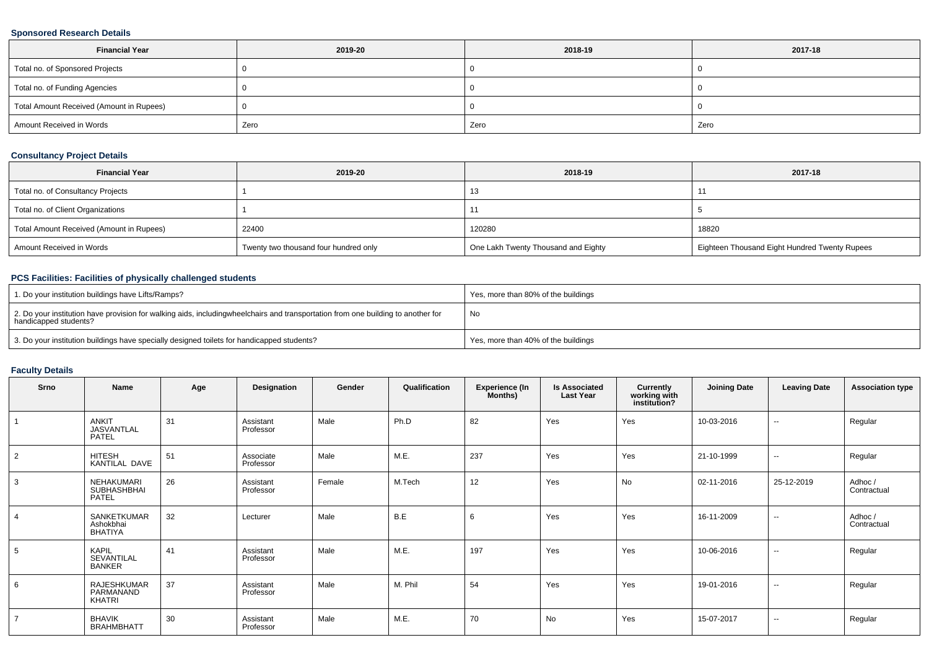### **Sponsored Research Details**

| <b>Financial Year</b>                    | 2019-20 | 2018-19 | 2017-18 |
|------------------------------------------|---------|---------|---------|
| Total no. of Sponsored Projects          |         |         |         |
| Total no. of Funding Agencies            |         |         |         |
| Total Amount Received (Amount in Rupees) |         |         |         |
| Amount Received in Words                 | Zero    | Zero    | Zero    |

### **Consultancy Project Details**

| <b>Financial Year</b>                    | 2019-20                               | 2018-19                             | 2017-18                                       |
|------------------------------------------|---------------------------------------|-------------------------------------|-----------------------------------------------|
| Total no. of Consultancy Projects        |                                       | ۰.                                  |                                               |
| Total no. of Client Organizations        |                                       |                                     |                                               |
| Total Amount Received (Amount in Rupees) | 22400                                 | 120280                              | 18820                                         |
| Amount Received in Words                 | Twenty two thousand four hundred only | One Lakh Twenty Thousand and Eighty | Eighteen Thousand Eight Hundred Twenty Rupees |

## **PCS Facilities: Facilities of physically challenged students**

| 1. Do your institution buildings have Lifts/Ramps?                                                                                                        | Yes, more than 80% of the buildings |
|-----------------------------------------------------------------------------------------------------------------------------------------------------------|-------------------------------------|
| 2. Do your institution have provision for walking aids, includingwheelchairs and transportation from one building to another for<br>handicapped students? | No                                  |
| 3. Do your institution buildings have specially designed toilets for handicapped students?                                                                | Yes, more than 40% of the buildings |

## **Faculty Details**

| Srno           | Name                                        | Age | Designation            | Gender | Qualification | <b>Experience (In</b><br>Months) | <b>Is Associated</b><br><b>Last Year</b> | Currently<br>working with<br>institution? | <b>Joining Date</b> | <b>Leaving Date</b>      | <b>Association type</b> |
|----------------|---------------------------------------------|-----|------------------------|--------|---------------|----------------------------------|------------------------------------------|-------------------------------------------|---------------------|--------------------------|-------------------------|
|                | <b>ANKIT</b><br>JASVANTLAL<br>PATEL         | 31  | Assistant<br>Professor | Male   | Ph.D          | 82                               | Yes                                      | Yes                                       | 10-03-2016          | $\sim$                   | Regular                 |
| 2              | HITESH<br>KANTILAL DAVE                     | 51  | Associate<br>Professor | Male   | M.E.          | 237                              | Yes                                      | Yes                                       | 21-10-1999          | $\sim$                   | Regular                 |
| 3              | <b>NEHAKUMARI</b><br>SUBHASHBHAI<br>PATEL   | 26  | Assistant<br>Professor | Female | M.Tech        | 12                               | Yes                                      | <b>No</b>                                 | 02-11-2016          | 25-12-2019               | Adhoc /<br>Contractual  |
| $\overline{4}$ | SANKETKUMAR<br>Ashokbhai<br>BHATIYA         | 32  | Lecturer               | Male   | B.E           | 6                                | Yes                                      | Yes                                       | 16-11-2009          | $\sim$                   | Adhoc /<br>Contractual  |
| 5              | <b>KAPIL</b><br>SEVANTILAL<br><b>BANKER</b> | 41  | Assistant<br>Professor | Male   | M.E.          | 197                              | Yes                                      | Yes                                       | 10-06-2016          | $\overline{\phantom{a}}$ | Regular                 |
| 6              | RAJESHKUMAR<br>PARMANAND<br>KHATRI          | 37  | Assistant<br>Professor | Male   | M. Phil       | 54                               | Yes                                      | Yes                                       | 19-01-2016          | $\sim$                   | Regular                 |
| $\overline{7}$ | <b>BHAVIK</b><br><b>BRAHMBHATT</b>          | 30  | Assistant<br>Professor | Male   | M.E.          | 70                               | No                                       | Yes                                       | 15-07-2017          | $\sim$                   | Regular                 |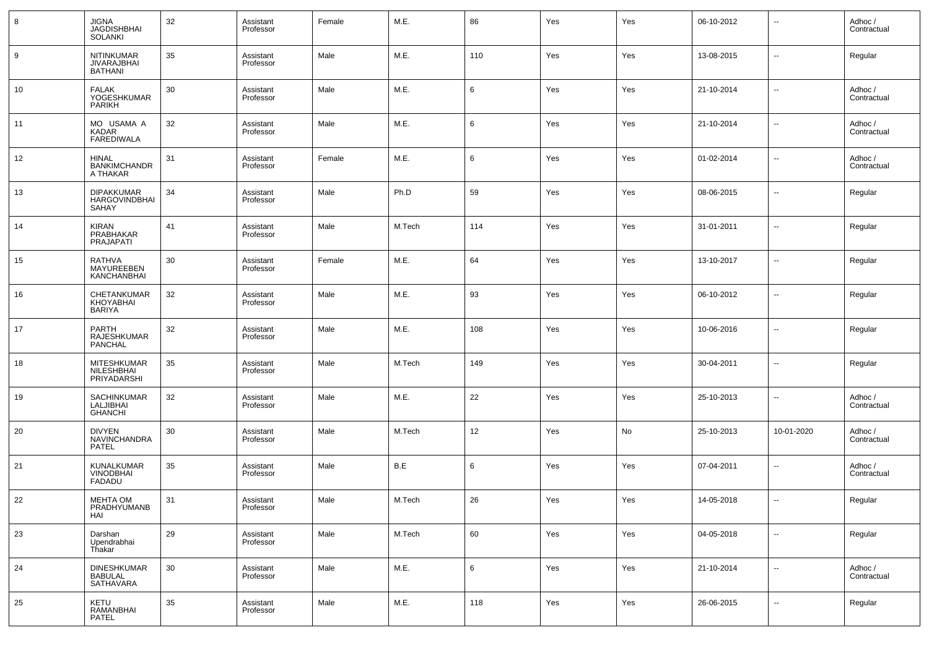| 8  | JIGNA<br><b>JAGDISHBHAI</b><br>SOLANKI                    | 32 | Assistant<br>Professor | Female | M.E.   | 86              | Yes | Yes | 06-10-2012 | $\overline{\phantom{a}}$ | Adhoc /<br>Contractual |
|----|-----------------------------------------------------------|----|------------------------|--------|--------|-----------------|-----|-----|------------|--------------------------|------------------------|
| 9  | <b>NITINKUMAR</b><br><b>JIVARAJBHAI</b><br><b>BATHANI</b> | 35 | Assistant<br>Professor | Male   | M.E.   | 110             | Yes | Yes | 13-08-2015 | $\sim$                   | Regular                |
| 10 | <b>FALAK</b><br>YOGESHKUMAR<br>PARIKH                     | 30 | Assistant<br>Professor | Male   | M.E.   | $6\phantom{.}6$ | Yes | Yes | 21-10-2014 | $\overline{\phantom{a}}$ | Adhoc /<br>Contractual |
| 11 | MO USAMA A<br>KADAR<br><b>FAREDIWALA</b>                  | 32 | Assistant<br>Professor | Male   | M.E.   | 6               | Yes | Yes | 21-10-2014 | $\sim$                   | Adhoc /<br>Contractual |
| 12 | <b>HINAL</b><br><b>BANKIMCHANDR</b><br>A THAKAR           | 31 | Assistant<br>Professor | Female | M.E.   | 6               | Yes | Yes | 01-02-2014 | $\overline{\phantom{a}}$ | Adhoc /<br>Contractual |
| 13 | <b>DIPAKKUMAR</b><br><b>HARGOVINDBHAI</b><br>SAHAY        | 34 | Assistant<br>Professor | Male   | Ph.D   | 59              | Yes | Yes | 08-06-2015 | $\overline{\phantom{a}}$ | Regular                |
| 14 | KIRAN<br>PRABHAKAR<br>PRAJAPATI                           | 41 | Assistant<br>Professor | Male   | M.Tech | 114             | Yes | Yes | 31-01-2011 | $\sim$                   | Regular                |
| 15 | <b>RATHVA</b><br>MAYUREEBEN<br>KANCHANBHAI                | 30 | Assistant<br>Professor | Female | M.E.   | 64              | Yes | Yes | 13-10-2017 | $\overline{\phantom{a}}$ | Regular                |
| 16 | CHETANKUMAR<br>KHOYABHAI<br><b>BARIYA</b>                 | 32 | Assistant<br>Professor | Male   | M.E.   | 93              | Yes | Yes | 06-10-2012 | $\overline{\phantom{a}}$ | Regular                |
| 17 | PARTH<br>RAJESHKUMAR<br>PANCHAL                           | 32 | Assistant<br>Professor | Male   | M.E.   | 108             | Yes | Yes | 10-06-2016 | $\overline{\phantom{a}}$ | Regular                |
| 18 | MITESHKUMAR<br>NILESHBHAI<br>PRIYADARSHI                  | 35 | Assistant<br>Professor | Male   | M.Tech | 149             | Yes | Yes | 30-04-2011 | $\sim$                   | Regular                |
| 19 | SACHINKUMAR<br>LALJIBHAI<br><b>GHANCHI</b>                | 32 | Assistant<br>Professor | Male   | M.E.   | 22              | Yes | Yes | 25-10-2013 | $\overline{\phantom{a}}$ | Adhoc /<br>Contractual |
| 20 | <b>DIVYEN</b><br>NAVINCHANDRA<br>PATEL                    | 30 | Assistant<br>Professor | Male   | M.Tech | 12              | Yes | No  | 25-10-2013 | 10-01-2020               | Adhoc /<br>Contractual |
| 21 | KUNALKUMAR<br><b>VINODBHAI</b><br>FADADU                  | 35 | Assistant<br>Professor | Male   | B.E    | 6               | Yes | Yes | 07-04-2011 | $\sim$                   | Adhoc /<br>Contractual |
| 22 | <b>MEHTA OM</b><br>PRADHYUMANB<br>HAI                     | 31 | Assistant<br>Professor | Male   | M.Tech | 26              | Yes | Yes | 14-05-2018 | $\overline{\phantom{a}}$ | Regular                |
| 23 | Darshan<br>Upendrabhai<br>Thakar                          | 29 | Assistant<br>Professor | Male   | M.Tech | 60              | Yes | Yes | 04-05-2018 | $\sim$                   | Regular                |
| 24 | DINESHKUMAR<br>BABULAL<br>SATHAVARA                       | 30 | Assistant<br>Professor | Male   | M.E.   | $6\phantom{.}6$ | Yes | Yes | 21-10-2014 | $\sim$                   | Adhoc /<br>Contractual |
| 25 | KETU<br>RAMANBHAI<br>PATEL                                | 35 | Assistant<br>Professor | Male   | M.E.   | 118             | Yes | Yes | 26-06-2015 | $\sim$                   | Regular                |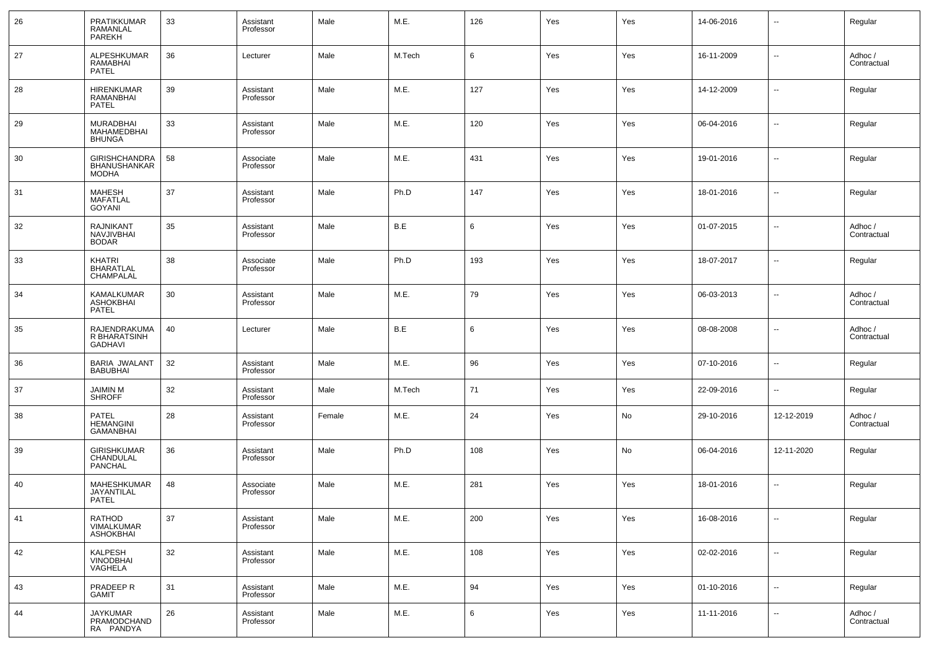| 26 | PRATIKKUMAR<br>RAMANLAL<br>PAREKH                           | 33 | Assistant<br>Professor | Male   | M.E.   | 126 | Yes | Yes | 14-06-2016 | $\overline{\phantom{a}}$ | Regular                |
|----|-------------------------------------------------------------|----|------------------------|--------|--------|-----|-----|-----|------------|--------------------------|------------------------|
| 27 | ALPESHKUMAR<br>RAMABHAI<br>PATEL                            | 36 | Lecturer               | Male   | M.Tech | 6   | Yes | Yes | 16-11-2009 | --                       | Adhoc /<br>Contractual |
| 28 | <b>HIRENKUMAR</b><br>RAMANBHAI<br><b>PATEL</b>              | 39 | Assistant<br>Professor | Male   | M.E.   | 127 | Yes | Yes | 14-12-2009 | --                       | Regular                |
| 29 | MURADBHAI<br>MAHAMEDBHAI<br><b>BHUNGA</b>                   | 33 | Assistant<br>Professor | Male   | M.E.   | 120 | Yes | Yes | 06-04-2016 | --                       | Regular                |
| 30 | <b>GIRISHCHANDRA</b><br><b>BHANUSHANKAR</b><br><b>MODHA</b> | 58 | Associate<br>Professor | Male   | M.E.   | 431 | Yes | Yes | 19-01-2016 | --                       | Regular                |
| 31 | MAHESH<br><b>MAFATLAL</b><br>GOYANI                         | 37 | Assistant<br>Professor | Male   | Ph.D   | 147 | Yes | Yes | 18-01-2016 | --                       | Regular                |
| 32 | <b>RAJNIKANT</b><br><b>NAVJIVBHAI</b><br><b>BODAR</b>       | 35 | Assistant<br>Professor | Male   | B.E    | 6   | Yes | Yes | 01-07-2015 | --                       | Adhoc /<br>Contractual |
| 33 | <b>KHATRI</b><br><b>BHARATLAL</b><br>CHAMPALAL              | 38 | Associate<br>Professor | Male   | Ph.D   | 193 | Yes | Yes | 18-07-2017 | --                       | Regular                |
| 34 | <b>KAMALKUMAR</b><br>ASHOKBHAI<br>PATEL                     | 30 | Assistant<br>Professor | Male   | M.E.   | 79  | Yes | Yes | 06-03-2013 | --                       | Adhoc /<br>Contractual |
| 35 | <b>RAJENDRAKUMA</b><br>R BHARATSINH<br><b>GADHAVI</b>       | 40 | Lecturer               | Male   | B.E    | 6   | Yes | Yes | 08-08-2008 | $\overline{a}$           | Adhoc /<br>Contractual |
| 36 | BARIA JWALANT<br><b>BABUBHAI</b>                            | 32 | Assistant<br>Professor | Male   | M.E.   | 96  | Yes | Yes | 07-10-2016 | $\sim$                   | Regular                |
| 37 | JAIMIN M<br><b>SHROFF</b>                                   | 32 | Assistant<br>Professor | Male   | M.Tech | 71  | Yes | Yes | 22-09-2016 | ⊷.                       | Regular                |
| 38 | PATEL<br><b>HEMANGINI</b><br><b>GAMANBHAI</b>               | 28 | Assistant<br>Professor | Female | M.E.   | 24  | Yes | No  | 29-10-2016 | 12-12-2019               | Adhoc /<br>Contractual |
| 39 | <b>GIRISHKUMAR</b><br>CHANDULAL<br>PANCHAL                  | 36 | Assistant<br>Professor | Male   | Ph.D   | 108 | Yes | No  | 06-04-2016 | 12-11-2020               | Regular                |
| 40 | MAHESHKUMAR<br>JAYANTILAL<br>PATEL                          | 48 | Associate<br>Professor | Male   | M.E.   | 281 | Yes | Yes | 18-01-2016 | --                       | Regular                |
| 41 | RATHOD<br>VIMALKUMAR<br><b>ASHOKBHAI</b>                    | 37 | Assistant<br>Professor | Male   | M.E.   | 200 | Yes | Yes | 16-08-2016 | --                       | Regular                |
| 42 | KALPESH<br><b>VINODBHAI</b><br>VAGHELA                      | 32 | Assistant<br>Professor | Male   | M.E.   | 108 | Yes | Yes | 02-02-2016 | --                       | Regular                |
| 43 | PRADEEP R<br>GAMIT                                          | 31 | Assistant<br>Professor | Male   | M.E.   | 94  | Yes | Yes | 01-10-2016 | ⊷.                       | Regular                |
| 44 | <b>JAYKUMAR</b><br>PRAMODCHAND<br>RA PANDYA                 | 26 | Assistant<br>Professor | Male   | M.E.   | 6   | Yes | Yes | 11-11-2016 | ⊷.                       | Adhoc /<br>Contractual |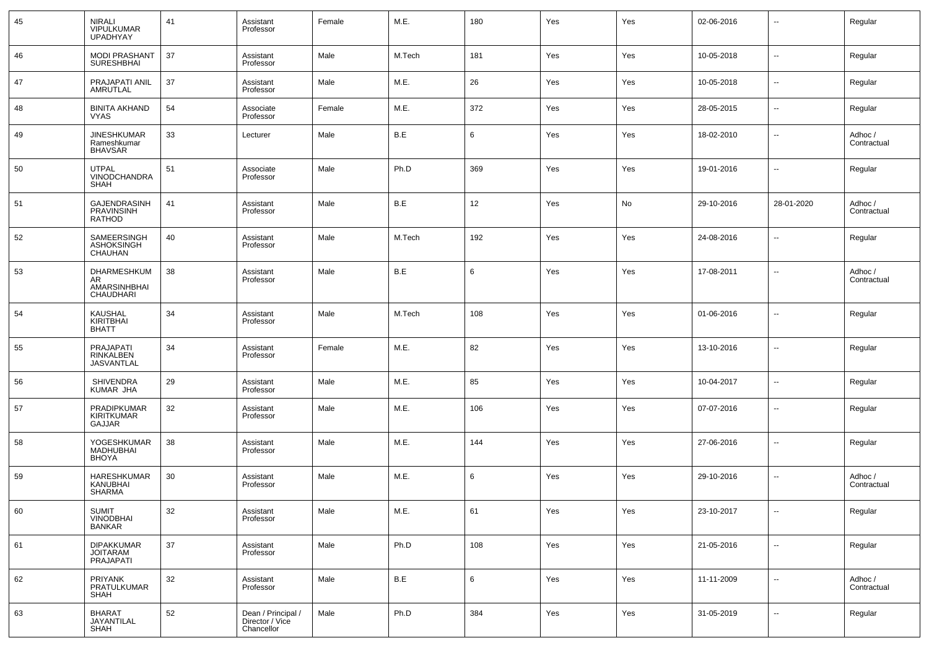| 45 | <b>NIRALI</b><br>VIPULKUMAR<br><b>UPADHYAY</b>            | 41 | Assistant<br>Professor                              | Female | M.E.   | 180             | Yes | Yes | 02-06-2016 | $\sim$                   | Regular                |
|----|-----------------------------------------------------------|----|-----------------------------------------------------|--------|--------|-----------------|-----|-----|------------|--------------------------|------------------------|
| 46 | <b>MODI PRASHANT</b><br><b>SURESHBHAI</b>                 | 37 | Assistant<br>Professor                              | Male   | M.Tech | 181             | Yes | Yes | 10-05-2018 | ш,                       | Regular                |
| 47 | PRAJAPATI ANIL<br>AMRUTLAL                                | 37 | Assistant<br>Professor                              | Male   | M.E.   | 26              | Yes | Yes | 10-05-2018 | ш,                       | Regular                |
| 48 | <b>BINITA AKHAND</b><br><b>VYAS</b>                       | 54 | Associate<br>Professor                              | Female | M.E.   | 372             | Yes | Yes | 28-05-2015 | ш,                       | Regular                |
| 49 | <b>JINESHKUMAR</b><br>Rameshkumar<br><b>BHAVSAR</b>       | 33 | Lecturer                                            | Male   | B.E    | 6               | Yes | Yes | 18-02-2010 | $\overline{\phantom{a}}$ | Adhoc /<br>Contractual |
| 50 | <b>UTPAL</b><br>VINODCHANDRA<br><b>SHAH</b>               | 51 | Associate<br>Professor                              | Male   | Ph.D   | 369             | Yes | Yes | 19-01-2016 | --                       | Regular                |
| 51 | GAJENDRASINH<br>PRAVINSINH<br><b>RATHOD</b>               | 41 | Assistant<br>Professor                              | Male   | B.E    | 12              | Yes | No  | 29-10-2016 | 28-01-2020               | Adhoc /<br>Contractual |
| 52 | SAMEERSINGH<br><b>ASHOKSINGH</b><br>CHAUHAN               | 40 | Assistant<br>Professor                              | Male   | M.Tech | 192             | Yes | Yes | 24-08-2016 | ш,                       | Regular                |
| 53 | DHARMESHKUM<br>AR<br>AMARSINHBHAI<br>CHAUDHARI            | 38 | Assistant<br>Professor                              | Male   | B.E    | 6               | Yes | Yes | 17-08-2011 | --                       | Adhoc /<br>Contractual |
| 54 | <b>KAUSHAL</b><br>KIRITBHAI<br><b>BHATT</b>               | 34 | Assistant<br>Professor                              | Male   | M.Tech | 108             | Yes | Yes | 01-06-2016 | ш,                       | Regular                |
| 55 | <b>PRAJAPATI</b><br><b>RINKALBEN</b><br><b>JASVANTLAL</b> | 34 | Assistant<br>Professor                              | Female | M.E.   | 82              | Yes | Yes | 13-10-2016 | --                       | Regular                |
| 56 | <b>SHIVENDRA</b><br>KUMAR JHA                             | 29 | Assistant<br>Professor                              | Male   | M.E.   | 85              | Yes | Yes | 10-04-2017 | --                       | Regular                |
| 57 | <b>PRADIPKUMAR</b><br>KIRITKUMAR<br>GAJJAR                | 32 | Assistant<br>Professor                              | Male   | M.E.   | 106             | Yes | Yes | 07-07-2016 | --                       | Regular                |
| 58 | YOGESHKUMAR<br>MADHUBHAI<br><b>BHOYA</b>                  | 38 | Assistant<br>Professor                              | Male   | M.E.   | 144             | Yes | Yes | 27-06-2016 | $\overline{a}$           | Regular                |
| 59 | HARESHKUMAR<br>KANUBHAI<br><b>SHARMA</b>                  | 30 | Assistant<br>Professor                              | Male   | M.E.   | 6               | Yes | Yes | 29-10-2016 | --                       | Adhoc /<br>Contractual |
| 60 | SUMIT<br>VINODBHAI<br>BANKAR                              | 32 | Assistant<br>Professor                              | Male   | M.E.   | 61              | Yes | Yes | 23-10-2017 | $\sim$                   | Regular                |
| 61 | <b>DIPAKKUMAR</b><br><b>JOITARAM</b><br>PRAJAPATI         | 37 | Assistant<br>Professor                              | Male   | Ph.D   | 108             | Yes | Yes | 21-05-2016 | $\sim$                   | Regular                |
| 62 | PRIYANK<br>PRATULKUMAR<br>SHAH                            | 32 | Assistant<br>Professor                              | Male   | B.E    | $6\phantom{.}6$ | Yes | Yes | 11-11-2009 | $\sim$                   | Adhoc /<br>Contractual |
| 63 | <b>BHARAT</b><br>JAYANTILAL<br>SHAH                       | 52 | Dean / Principal /<br>Director / Vice<br>Chancellor | Male   | Ph.D   | 384             | Yes | Yes | 31-05-2019 | $\sim$                   | Regular                |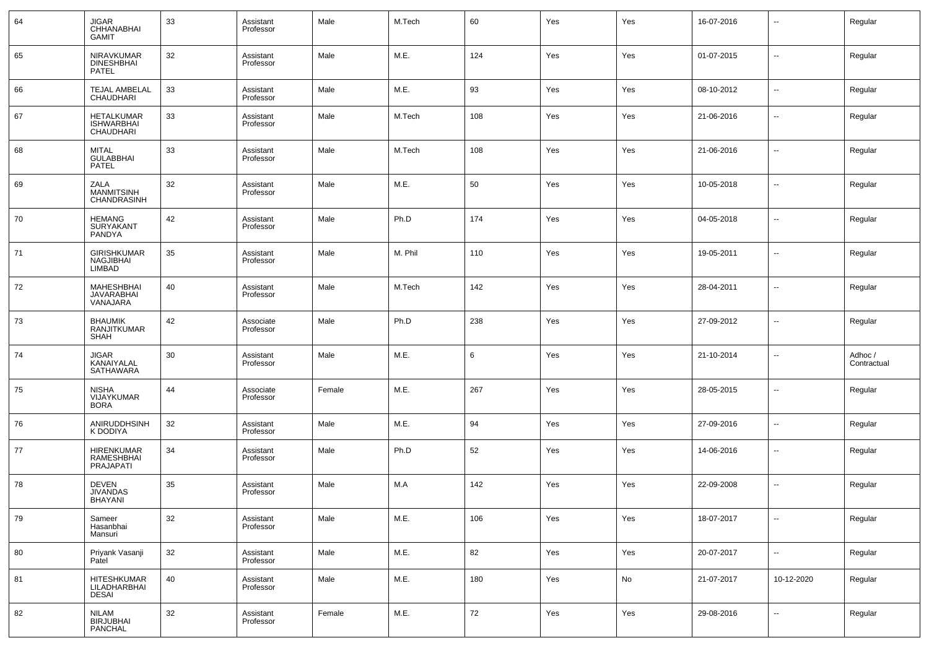| 64 | <b>JIGAR</b><br><b>CHHANABHAI</b><br><b>GAMIT</b>   | 33 | Assistant<br>Professor | Male   | M.Tech  | 60  | Yes | Yes | 16-07-2016 | ⊶.                       | Regular                |
|----|-----------------------------------------------------|----|------------------------|--------|---------|-----|-----|-----|------------|--------------------------|------------------------|
| 65 | NIRAVKUMAR<br><b>DINESHBHAI</b><br>PATEL            | 32 | Assistant<br>Professor | Male   | M.E.    | 124 | Yes | Yes | 01-07-2015 | н.                       | Regular                |
| 66 | TEJAL AMBELAL<br>CHAUDHARI                          | 33 | Assistant<br>Professor | Male   | M.E.    | 93  | Yes | Yes | 08-10-2012 | --                       | Regular                |
| 67 | <b>HETALKUMAR</b><br><b>ISHWARBHAI</b><br>CHAUDHARI | 33 | Assistant<br>Professor | Male   | M.Tech  | 108 | Yes | Yes | 21-06-2016 | --                       | Regular                |
| 68 | <b>MITAL</b><br><b>GULABBHAI</b><br>PATEL           | 33 | Assistant<br>Professor | Male   | M.Tech  | 108 | Yes | Yes | 21-06-2016 | −−                       | Regular                |
| 69 | ZALA<br><b>MANMITSINH</b><br>CHANDRASINH            | 32 | Assistant<br>Professor | Male   | M.E.    | 50  | Yes | Yes | 10-05-2018 | $\overline{\phantom{a}}$ | Regular                |
| 70 | <b>HEMANG</b><br>SURYAKANT<br>PANDYA                | 42 | Assistant<br>Professor | Male   | Ph.D    | 174 | Yes | Yes | 04-05-2018 | ⊶.                       | Regular                |
| 71 | <b>GIRISHKUMAR</b><br>NAGJIBHAI<br><b>LIMBAD</b>    | 35 | Assistant<br>Professor | Male   | M. Phil | 110 | Yes | Yes | 19-05-2011 | ⊶.                       | Regular                |
| 72 | <b>MAHESHBHAI</b><br><b>JAVARABHAI</b><br>VANAJARA  | 40 | Assistant<br>Professor | Male   | M.Tech  | 142 | Yes | Yes | 28-04-2011 | н.                       | Regular                |
| 73 | <b>BHAUMIK</b><br>RANJITKUMAR<br><b>SHAH</b>        | 42 | Associate<br>Professor | Male   | Ph.D    | 238 | Yes | Yes | 27-09-2012 | --                       | Regular                |
| 74 | <b>JIGAR</b><br>KANAIYALAL<br><b>SATHAWARA</b>      | 30 | Assistant<br>Professor | Male   | M.E.    | 6   | Yes | Yes | 21-10-2014 | --                       | Adhoc /<br>Contractual |
| 75 | NISHA<br>VIJAYKUMAR<br><b>BORA</b>                  | 44 | Associate<br>Professor | Female | M.E.    | 267 | Yes | Yes | 28-05-2015 | н.                       | Regular                |
| 76 | ANIRUDDHSINH<br>K DODIYA                            | 32 | Assistant<br>Professor | Male   | M.E.    | 94  | Yes | Yes | 27-09-2016 | --                       | Regular                |
| 77 | <b>HIRENKUMAR</b><br>RAMESHBHAI<br>PRAJAPATI        | 34 | Assistant<br>Professor | Male   | Ph.D    | 52  | Yes | Yes | 14-06-2016 | --                       | Regular                |
| 78 | <b>DEVEN</b><br><b>JIVANDAS</b><br><b>BHAYANI</b>   | 35 | Assistant<br>Professor | Male   | M.A     | 142 | Yes | Yes | 22-09-2008 | --                       | Regular                |
| 79 | Sameer<br>Hasanbhai<br>Mansuri                      | 32 | Assistant<br>Professor | Male   | M.E.    | 106 | Yes | Yes | 18-07-2017 | н.                       | Regular                |
| 80 | Priyank Vasanji<br>Patel                            | 32 | Assistant<br>Professor | Male   | M.E.    | 82  | Yes | Yes | 20-07-2017 | н.                       | Regular                |
| 81 | <b>HITESHKUMAR</b><br>LILADHARBHAI<br><b>DESAI</b>  | 40 | Assistant<br>Professor | Male   | M.E.    | 180 | Yes | No  | 21-07-2017 | 10-12-2020               | Regular                |
| 82 | <b>NILAM</b><br><b>BIRJUBHAI</b><br><b>PANCHAL</b>  | 32 | Assistant<br>Professor | Female | M.E.    | 72  | Yes | Yes | 29-08-2016 | ⊷                        | Regular                |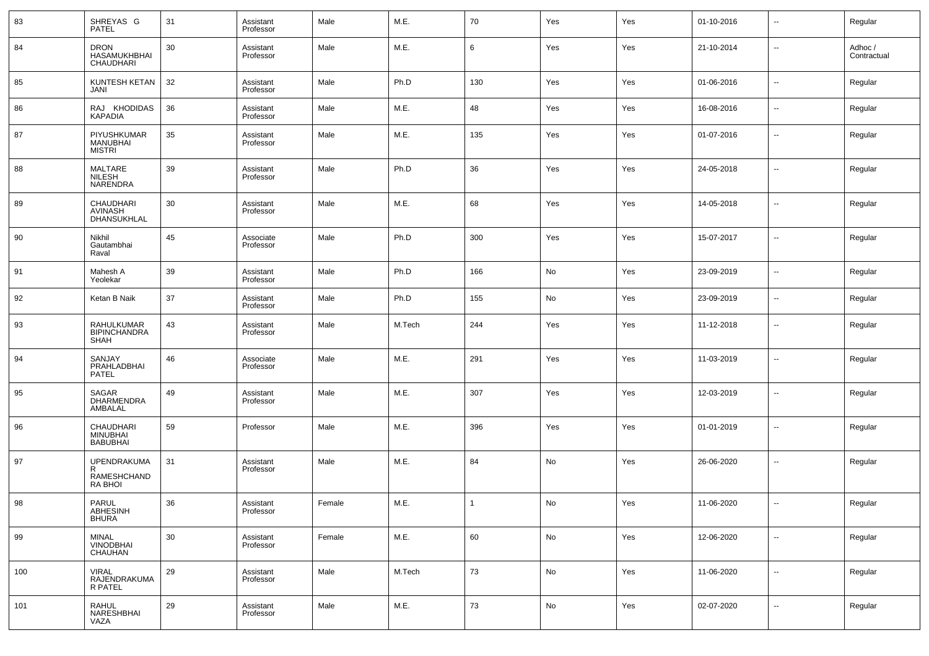| 83  | SHREYAS G<br><b>PATEL</b>                       | 31 | Assistant<br>Professor | Male   | M.E.   | 70             | Yes | Yes | 01-10-2016 | $\sim$ | Regular               |
|-----|-------------------------------------------------|----|------------------------|--------|--------|----------------|-----|-----|------------|--------|-----------------------|
| 84  | <b>DRON</b><br><b>HASAMUKHBHAI</b><br>CHAUDHARI | 30 | Assistant<br>Professor | Male   | M.E.   | 6              | Yes | Yes | 21-10-2014 | --     | Adhoc/<br>Contractual |
| 85  | KUNTESH KETAN<br>JANI                           | 32 | Assistant<br>Professor | Male   | Ph.D   | 130            | Yes | Yes | 01-06-2016 | --     | Regular               |
| 86  | RAJ KHODIDAS<br><b>KAPADIA</b>                  | 36 | Assistant<br>Professor | Male   | M.E.   | 48             | Yes | Yes | 16-08-2016 | ш,     | Regular               |
| 87  | PIYUSHKUMAR<br>MANUBHAI<br><b>MISTRI</b>        | 35 | Assistant<br>Professor | Male   | M.E.   | 135            | Yes | Yes | 01-07-2016 | --     | Regular               |
| 88  | MALTARE<br><b>NILESH</b><br><b>NARENDRA</b>     | 39 | Assistant<br>Professor | Male   | Ph.D   | 36             | Yes | Yes | 24-05-2018 | --     | Regular               |
| 89  | CHAUDHARI<br>AVINASH<br>DHANSUKHLAL             | 30 | Assistant<br>Professor | Male   | M.E.   | 68             | Yes | Yes | 14-05-2018 | --     | Regular               |
| 90  | Nikhil<br>Gautambhai<br>Raval                   | 45 | Associate<br>Professor | Male   | Ph.D   | 300            | Yes | Yes | 15-07-2017 | --     | Regular               |
| 91  | Mahesh A<br>Yeolekar                            | 39 | Assistant<br>Professor | Male   | Ph.D   | 166            | No  | Yes | 23-09-2019 | --     | Regular               |
| 92  | Ketan B Naik                                    | 37 | Assistant<br>Professor | Male   | Ph.D   | 155            | No  | Yes | 23-09-2019 | --     | Regular               |
| 93  | RAHULKUMAR<br><b>BIPINCHANDRA</b><br>SHAH       | 43 | Assistant<br>Professor | Male   | M.Tech | 244            | Yes | Yes | 11-12-2018 | --     | Regular               |
| 94  | SANJAY<br>PRAHLADBHAI<br>PATEL                  | 46 | Associate<br>Professor | Male   | M.E.   | 291            | Yes | Yes | 11-03-2019 | --     | Regular               |
| 95  | SAGAR<br>DHARMENDRA<br>AMBALAL                  | 49 | Assistant<br>Professor | Male   | M.E.   | 307            | Yes | Yes | 12-03-2019 | --     | Regular               |
| 96  | CHAUDHARI<br><b>MINUBHAI</b><br><b>BABUBHAI</b> | 59 | Professor              | Male   | M.E.   | 396            | Yes | Yes | 01-01-2019 | --     | Regular               |
| 97  | UPENDRAKUMA<br>RAMESHCHAND<br><b>RA BHOI</b>    | 31 | Assistant<br>Professor | Male   | M.E.   | 84             | No  | Yes | 26-06-2020 | --     | Regular               |
| 98  | PARUL<br>ABHESINH<br>BHURA                      | 36 | Assistant<br>Professor | Female | M.E.   | $\overline{1}$ | No  | Yes | 11-06-2020 | --     | Regular               |
| 99  | MINAL<br>VINODBHAI<br>CHAUHAN                   | 30 | Assistant<br>Professor | Female | M.E.   | 60             | No  | Yes | 12-06-2020 | −−     | Regular               |
| 100 | <b>VIRAL</b><br>RAJENDRAKUMA<br>R PATEL         | 29 | Assistant<br>Professor | Male   | M.Tech | 73             | No  | Yes | 11-06-2020 | ш,     | Regular               |
| 101 | <b>RAHUL</b><br>NARESHBHAI<br>VAZA              | 29 | Assistant<br>Professor | Male   | M.E.   | 73             | No  | Yes | 02-07-2020 | --     | Regular               |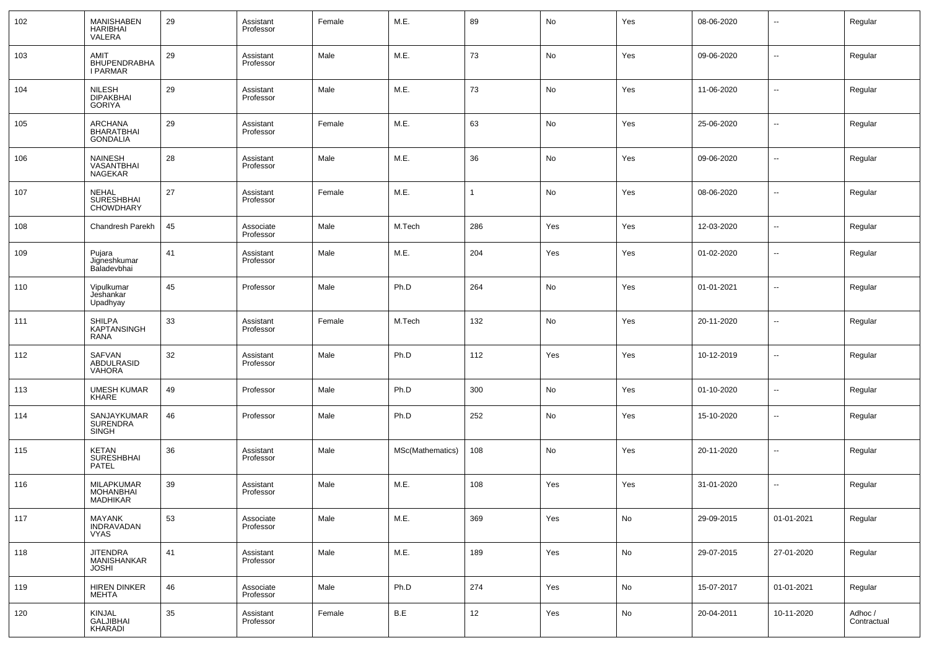| 102 | <b>MANISHABEN</b><br><b>HARIBHAI</b><br>VALERA    | 29 | Assistant<br>Professor | Female | M.E.             | 89           | No  | Yes | 08-06-2020 | ۰.                       | Regular                |
|-----|---------------------------------------------------|----|------------------------|--------|------------------|--------------|-----|-----|------------|--------------------------|------------------------|
| 103 | AMIT<br>BHUPENDRABHA<br><b>I PARMAR</b>           | 29 | Assistant<br>Professor | Male   | M.E.             | 73           | No  | Yes | 09-06-2020 | ш,                       | Regular                |
| 104 | <b>NILESH</b><br><b>DIPAKBHAI</b><br>GORIYA       | 29 | Assistant<br>Professor | Male   | M.E.             | 73           | No  | Yes | 11-06-2020 | --                       | Regular                |
| 105 | <b>ARCHANA</b><br>BHARATBHAI<br><b>GONDALIA</b>   | 29 | Assistant<br>Professor | Female | M.E.             | 63           | No  | Yes | 25-06-2020 | --                       | Regular                |
| 106 | <b>NAINESH</b><br>VASANTBHAI<br>NAGEKAR           | 28 | Assistant<br>Professor | Male   | M.E.             | 36           | No  | Yes | 09-06-2020 | $\overline{\phantom{a}}$ | Regular                |
| 107 | <b>NEHAL</b><br><b>SURESHBHAI</b><br>CHOWDHARY    | 27 | Assistant<br>Professor | Female | M.E.             | $\mathbf{1}$ | No  | Yes | 08-06-2020 | $\overline{\phantom{a}}$ | Regular                |
| 108 | Chandresh Parekh                                  | 45 | Associate<br>Professor | Male   | M.Tech           | 286          | Yes | Yes | 12-03-2020 | ۰.                       | Regular                |
| 109 | Pujara<br>Jigneshkumar<br>Baladevbhai             | 41 | Assistant<br>Professor | Male   | M.E.             | 204          | Yes | Yes | 01-02-2020 | --                       | Regular                |
| 110 | Vipulkumar<br>Jeshankar<br>Upadhyay               | 45 | Professor              | Male   | Ph.D             | 264          | No  | Yes | 01-01-2021 | --                       | Regular                |
| 111 | <b>SHILPA</b><br><b>KAPTANSINGH</b><br>RANA       | 33 | Assistant<br>Professor | Female | M.Tech           | 132          | No  | Yes | 20-11-2020 | --                       | Regular                |
| 112 | SAFVAN<br>ABDULRASID<br><b>VAHORA</b>             | 32 | Assistant<br>Professor | Male   | Ph.D             | 112          | Yes | Yes | 10-12-2019 | --                       | Regular                |
| 113 | <b>UMESH KUMAR</b><br>KHARE                       | 49 | Professor              | Male   | Ph.D             | 300          | No  | Yes | 01-10-2020 | н.                       | Regular                |
| 114 | SANJAYKUMAR<br><b>SURENDRA</b><br>SINGH           | 46 | Professor              | Male   | Ph.D             | 252          | No  | Yes | 15-10-2020 | $\overline{\phantom{a}}$ | Regular                |
| 115 | KETAN<br>SURESHBHAI<br>PATEL                      | 36 | Assistant<br>Professor | Male   | MSc(Mathematics) | 108          | No  | Yes | 20-11-2020 | --                       | Regular                |
| 116 | <b>MILAPKUMAR</b><br><b>MOHANBHAI</b><br>MADHIKAR | 39 | Assistant<br>Professor | Male   | M.E.             | 108          | Yes | Yes | 31-01-2020 | --                       | Regular                |
| 117 | MAYANK<br><b>INDRAVADAN</b><br><b>VYAS</b>        | 53 | Associate<br>Professor | Male   | M.E.             | 369          | Yes | No  | 29-09-2015 | 01-01-2021               | Regular                |
| 118 | <b>JITENDRA</b><br>MANISHANKAR<br><b>JOSHI</b>    | 41 | Assistant<br>Professor | Male   | M.E.             | 189          | Yes | No  | 29-07-2015 | 27-01-2020               | Regular                |
| 119 | <b>HIREN DINKER</b><br>MEHTA                      | 46 | Associate<br>Professor | Male   | Ph.D             | 274          | Yes | No  | 15-07-2017 | 01-01-2021               | Regular                |
| 120 | <b>KINJAL</b><br><b>GALJIBHAI</b><br>KHARADI      | 35 | Assistant<br>Professor | Female | B.E              | 12           | Yes | No  | 20-04-2011 | 10-11-2020               | Adhoc /<br>Contractual |